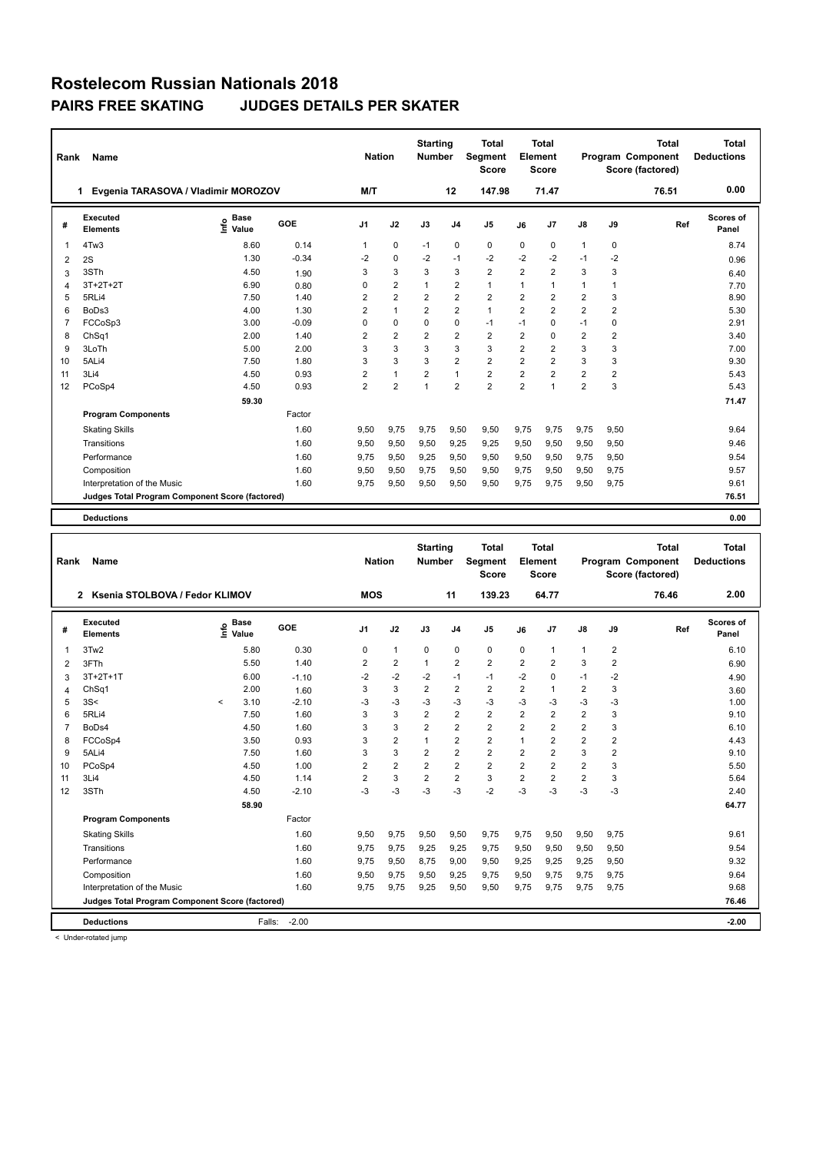| Rank           | Name                                            |                              |         | <b>Nation</b>  |                | <b>Starting</b><br><b>Number</b> |                | <b>Total</b><br>Segment<br><b>Score</b> |                | <b>Total</b><br>Element<br>Score |                |                | Total<br>Program Component<br>Score (factored) | Total<br><b>Deductions</b> |
|----------------|-------------------------------------------------|------------------------------|---------|----------------|----------------|----------------------------------|----------------|-----------------------------------------|----------------|----------------------------------|----------------|----------------|------------------------------------------------|----------------------------|
|                | Evgenia TARASOVA / Vladimir MOROZOV<br>1        |                              |         | M/T            |                |                                  | 12             | 147.98                                  |                | 71.47                            |                |                | 76.51                                          | 0.00                       |
| #              | Executed<br><b>Elements</b>                     | <b>Base</b><br>lnfo<br>Value | GOE     | J <sub>1</sub> | J2             | J3                               | J <sub>4</sub> | J <sub>5</sub>                          | J6             | J7                               | $\mathsf{J}8$  | J9             | Ref                                            | Scores of<br>Panel         |
| $\overline{1}$ | 4Tw3                                            | 8.60                         | 0.14    | 1              | $\mathbf 0$    | $-1$                             | $\mathbf 0$    | $\mathbf 0$                             | $\Omega$       | 0                                | $\mathbf{1}$   | 0              |                                                | 8.74                       |
| 2              | 2S                                              | 1.30                         | $-0.34$ | -2             | $\mathbf 0$    | $-2$                             | $-1$           | $-2$                                    | $-2$           | $-2$                             | $-1$           | $-2$           |                                                | 0.96                       |
| 3              | 3STh                                            | 4.50                         | 1.90    | 3              | 3              | 3                                | 3              | $\overline{2}$                          | $\overline{2}$ | $\overline{2}$                   | 3              | 3              |                                                | 6.40                       |
| $\overline{4}$ | $3T+2T+2T$                                      | 6.90                         | 0.80    | $\Omega$       | $\overline{2}$ | 1                                | $\overline{2}$ | $\mathbf{1}$                            | 1              | 1                                | 1              | 1              |                                                | 7.70                       |
| 5              | 5RLi4                                           | 7.50                         | 1.40    | 2              | $\overline{2}$ | $\overline{2}$                   | $\overline{2}$ | $\overline{2}$                          | $\overline{2}$ | $\overline{2}$                   | $\overline{2}$ | 3              |                                                | 8.90                       |
| 6              | BoDs3                                           | 4.00                         | 1.30    | $\overline{2}$ | $\mathbf{1}$   | $\overline{2}$                   | $\overline{2}$ | $\mathbf{1}$                            | $\overline{2}$ | $\overline{2}$                   | $\overline{2}$ | $\overline{2}$ |                                                | 5.30                       |
| $\overline{7}$ | FCCoSp3                                         | 3.00                         | $-0.09$ | $\Omega$       | $\Omega$       | $\Omega$                         | $\mathbf 0$    | $-1$                                    | $-1$           | $\Omega$                         | $-1$           | $\Omega$       |                                                | 2.91                       |
| 8              | Ch <sub>Sq1</sub>                               | 2.00                         | 1.40    | $\overline{2}$ | $\overline{2}$ | $\overline{2}$                   | $\overline{2}$ | $\overline{2}$                          | $\overline{2}$ | $\Omega$                         | $\overline{2}$ | $\overline{2}$ |                                                | 3.40                       |
| 9              | 3LoTh                                           | 5.00                         | 2.00    | 3              | 3              | 3                                | 3              | 3                                       | $\overline{2}$ | $\overline{2}$                   | 3              | 3              |                                                | 7.00                       |
| 10             | 5ALi4                                           | 7.50                         | 1.80    | 3              | 3              | 3                                | 2              | $\overline{2}$                          | $\overline{2}$ | $\overline{2}$                   | 3              | 3              |                                                | 9.30                       |
| 11             | 3Li4                                            | 4.50                         | 0.93    | $\overline{2}$ | $\mathbf{1}$   | $\overline{2}$                   | $\mathbf{1}$   | $\overline{2}$                          | $\overline{2}$ | $\overline{2}$                   | $\overline{2}$ | $\overline{2}$ |                                                | 5.43                       |
| 12             | PCoSp4                                          | 4.50                         | 0.93    | $\overline{2}$ | $\overline{2}$ | 1                                | $\overline{2}$ | $\overline{2}$                          | $\overline{2}$ | $\overline{1}$                   | $\overline{2}$ | 3              |                                                | 5.43                       |
|                |                                                 | 59.30                        |         |                |                |                                  |                |                                         |                |                                  |                |                |                                                | 71.47                      |
|                | <b>Program Components</b>                       |                              | Factor  |                |                |                                  |                |                                         |                |                                  |                |                |                                                |                            |
|                | <b>Skating Skills</b>                           |                              | 1.60    | 9,50           | 9,75           | 9.75                             | 9,50           | 9,50                                    | 9.75           | 9,75                             | 9,75           | 9,50           |                                                | 9.64                       |
|                | Transitions                                     |                              | 1.60    | 9,50           | 9,50           | 9,50                             | 9,25           | 9,25                                    | 9,50           | 9,50                             | 9,50           | 9,50           |                                                | 9.46                       |
|                | Performance                                     |                              | 1.60    | 9.75           | 9,50           | 9,25                             | 9,50           | 9,50                                    | 9,50           | 9,50                             | 9,75           | 9,50           |                                                | 9.54                       |
|                | Composition                                     |                              | 1.60    | 9,50           | 9,50           | 9.75                             | 9,50           | 9,50                                    | 9.75           | 9,50                             | 9,50           | 9,75           |                                                | 9.57                       |
|                | Interpretation of the Music                     |                              | 1.60    | 9.75           | 9,50           | 9,50                             | 9,50           | 9,50                                    | 9,75           | 9,75                             | 9,50           | 9,75           |                                                | 9.61                       |
|                | Judges Total Program Component Score (factored) |                              |         |                |                |                                  |                |                                         |                |                                  |                |                |                                                | 76.51                      |

**Deductions 0.00**

| Rank           | Name                                            | <b>Nation</b>                |         | <b>Starting</b><br><b>Number</b> |                | <b>Total</b><br>Segment<br><b>Score</b> |                | <b>Total</b><br>Element<br><b>Score</b> |                |                | Total<br>Program Component<br>Score (factored) | <b>Total</b><br><b>Deductions</b> |       |                    |
|----------------|-------------------------------------------------|------------------------------|---------|----------------------------------|----------------|-----------------------------------------|----------------|-----------------------------------------|----------------|----------------|------------------------------------------------|-----------------------------------|-------|--------------------|
|                | Ksenia STOLBOVA / Fedor KLIMOV<br>2             |                              |         | <b>MOS</b>                       |                |                                         | 11             | 139.23                                  |                | 64.77          |                                                |                                   | 76.46 | 2.00               |
| #              | Executed<br><b>Elements</b>                     | <b>Base</b><br>lnfo<br>Value | GOE     | J <sub>1</sub>                   | J2             | J3                                      | J <sub>4</sub> | J5                                      | J6             | J7             | J8                                             | J9                                | Ref   | Scores of<br>Panel |
| 1              | 3Tw2                                            | 5.80                         | 0.30    | 0                                | $\mathbf{1}$   | 0                                       | $\mathbf 0$    | 0                                       | 0              | $\overline{1}$ | $\mathbf{1}$                                   | $\overline{2}$                    |       | 6.10               |
| $\overline{2}$ | 3FTh                                            | 5.50                         | 1.40    | $\overline{2}$                   | $\overline{2}$ | $\mathbf{1}$                            | $\overline{2}$ | $\overline{2}$                          | $\overline{2}$ | $\overline{2}$ | 3                                              | $\overline{2}$                    |       | 6.90               |
| 3              | $3T+2T+1T$                                      | 6.00                         | $-1.10$ | -2                               | $-2$           | $-2$                                    | $-1$           | $-1$                                    | $-2$           | $\mathbf 0$    | $-1$                                           | $-2$                              |       | 4.90               |
| 4              | ChSq1                                           | 2.00                         | 1.60    | 3                                | 3              | $\overline{2}$                          | $\overline{2}$ | $\overline{2}$                          | 2              | $\overline{1}$ | 2                                              | 3                                 |       | 3.60               |
| 5              | 3S<                                             | 3.10<br>$\hat{}$             | $-2.10$ | $-3$                             | $-3$           | -3                                      | $-3$           | $-3$                                    | $-3$           | $-3$           | $-3$                                           | $-3$                              |       | 1.00               |
| 6              | 5RLi4                                           | 7.50                         | 1.60    | 3                                | 3              | $\overline{2}$                          | $\overline{2}$ | $\overline{2}$                          | $\overline{2}$ | $\overline{2}$ | $\overline{2}$                                 | 3                                 |       | 9.10               |
| $\overline{7}$ | BoDs4                                           | 4.50                         | 1.60    | 3                                | 3              | $\overline{2}$                          | $\overline{2}$ | $\overline{2}$                          | $\overline{2}$ | $\overline{2}$ | $\overline{2}$                                 | 3                                 |       | 6.10               |
| 8              | FCCoSp4                                         | 3.50                         | 0.93    | 3                                | $\overline{2}$ | $\mathbf{1}$                            | $\overline{2}$ | $\overline{2}$                          | $\overline{1}$ | $\overline{2}$ | $\overline{2}$                                 | $\overline{2}$                    |       | 4.43               |
| 9              | 5ALi4                                           | 7.50                         | 1.60    | 3                                | 3              | $\overline{2}$                          | $\overline{2}$ | $\overline{2}$                          | $\overline{2}$ | $\overline{2}$ | 3                                              | $\overline{2}$                    |       | 9.10               |
| 10             | PCoSp4                                          | 4.50                         | 1.00    | $\overline{2}$                   | $\overline{2}$ | $\overline{2}$                          | $\overline{2}$ | $\overline{2}$                          | $\overline{2}$ | $\overline{2}$ | $\overline{2}$                                 | 3                                 |       | 5.50               |
| 11             | 3Li4                                            | 4.50                         | 1.14    | 2                                | 3              | $\overline{2}$                          | $\overline{2}$ | 3                                       | 2              | $\overline{2}$ | 2                                              | 3                                 |       | 5.64               |
| 12             | 3STh                                            | 4.50                         | $-2.10$ | $-3$                             | $-3$           | $-3$                                    | $-3$           | $-2$                                    | $-3$           | $-3$           | $-3$                                           | $-3$                              |       | 2.40               |
|                |                                                 | 58.90                        |         |                                  |                |                                         |                |                                         |                |                |                                                |                                   |       | 64.77              |
|                | <b>Program Components</b>                       |                              | Factor  |                                  |                |                                         |                |                                         |                |                |                                                |                                   |       |                    |
|                | <b>Skating Skills</b>                           |                              | 1.60    | 9,50                             | 9,75           | 9,50                                    | 9,50           | 9,75                                    | 9,75           | 9,50           | 9,50                                           | 9,75                              |       | 9.61               |
|                | Transitions                                     |                              | 1.60    | 9,75                             | 9,75           | 9,25                                    | 9,25           | 9,75                                    | 9,50           | 9,50           | 9,50                                           | 9,50                              |       | 9.54               |
|                | Performance                                     |                              | 1.60    | 9.75                             | 9,50           | 8,75                                    | 9,00           | 9,50                                    | 9,25           | 9,25           | 9,25                                           | 9,50                              |       | 9.32               |
|                | Composition                                     |                              | 1.60    | 9,50                             | 9,75           | 9,50                                    | 9,25           | 9,75                                    | 9,50           | 9.75           | 9,75                                           | 9,75                              |       | 9.64               |
|                | Interpretation of the Music                     |                              | 1.60    | 9,75                             | 9,75           | 9,25                                    | 9,50           | 9,50                                    | 9,75           | 9.75           | 9,75                                           | 9,75                              |       | 9.68               |
|                | Judges Total Program Component Score (factored) |                              |         |                                  |                |                                         |                |                                         |                |                |                                                |                                   |       | 76.46              |
|                | <b>Deductions</b>                               | Falls:                       | $-2.00$ |                                  |                |                                         |                |                                         |                |                |                                                |                                   |       | $-2.00$            |

< Under-rotated jump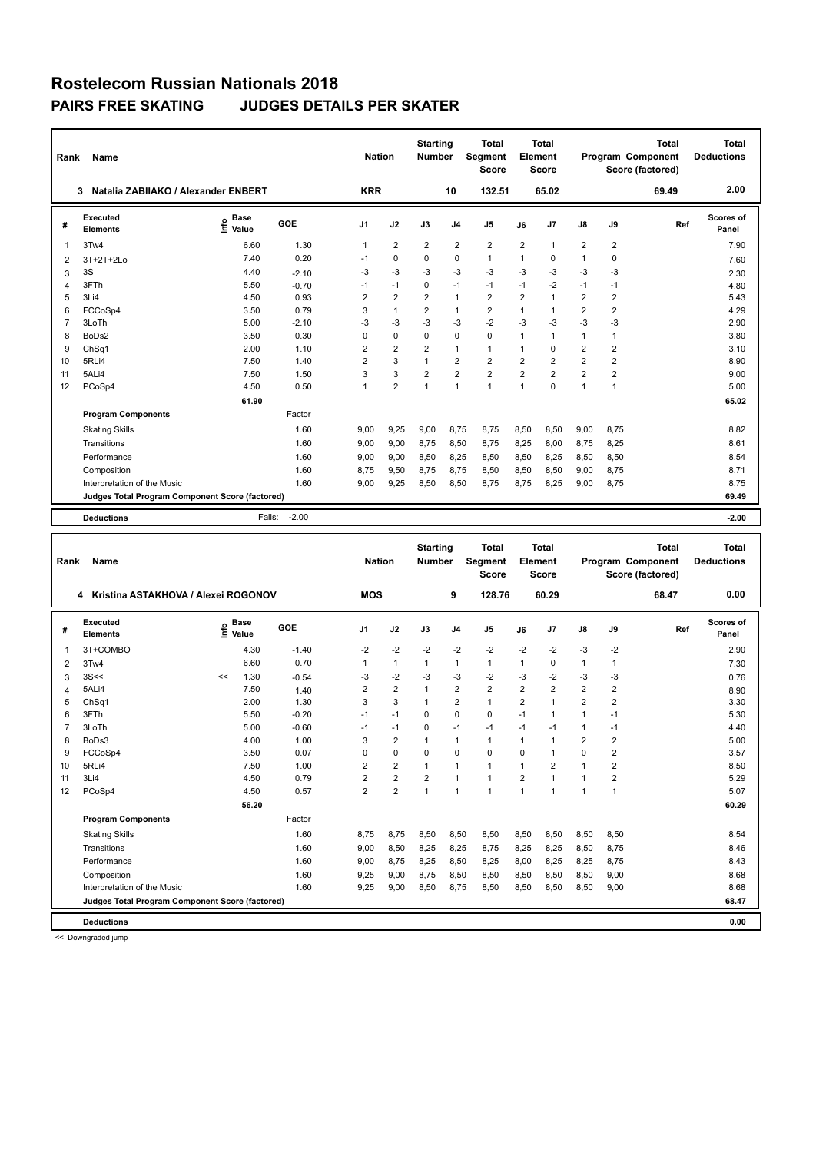|                | <b>Name</b><br>Rank<br>Natalia ZABIIAKO / Alexander ENBERT<br>3 |                           |            |                | <b>Nation</b>  | <b>Starting</b><br><b>Number</b> |                | <b>Total</b><br><b>Segment</b><br><b>Score</b> |                | <b>Total</b><br>Element<br><b>Score</b> |                |                | Total<br>Program Component<br>Score (factored) | Total<br><b>Deductions</b> |
|----------------|-----------------------------------------------------------------|---------------------------|------------|----------------|----------------|----------------------------------|----------------|------------------------------------------------|----------------|-----------------------------------------|----------------|----------------|------------------------------------------------|----------------------------|
|                |                                                                 |                           |            | <b>KRR</b>     |                |                                  | 10             | 132.51                                         |                | 65.02                                   |                |                | 69.49                                          | 2.00                       |
| #              | Executed<br><b>Elements</b>                                     | <b>Base</b><br>۴<br>Value | <b>GOE</b> | J <sub>1</sub> | J2             | J3                               | J <sub>4</sub> | J <sub>5</sub>                                 | J6             | J7                                      | $\mathsf{J}8$  | J9             | Ref                                            | Scores of<br>Panel         |
| 1              | 3Tw4                                                            | 6.60                      | 1.30       | $\mathbf{1}$   | $\overline{2}$ | $\overline{2}$                   | $\overline{2}$ | $\overline{2}$                                 | $\overline{2}$ | $\overline{1}$                          | $\overline{2}$ | $\overline{2}$ |                                                | 7.90                       |
| 2              | 3T+2T+2Lo                                                       | 7.40                      | 0.20       | $-1$           | 0              | $\Omega$                         | $\mathbf 0$    | $\mathbf{1}$                                   | 1              | 0                                       | 1              | 0              |                                                | 7.60                       |
| 3              | 3S                                                              | 4.40                      | $-2.10$    | -3             | $-3$           | $-3$                             | $-3$           | $-3$                                           | $-3$           | $-3$                                    | $-3$           | $-3$           |                                                | 2.30                       |
| $\overline{4}$ | 3FTh                                                            | 5.50                      | $-0.70$    | $-1$           | $-1$           | $\mathbf 0$                      | $-1$           | $-1$                                           | $-1$           | $-2$                                    | $-1$           | $-1$           |                                                | 4.80                       |
| 5              | 3Li4                                                            | 4.50                      | 0.93       | 2              | $\overline{2}$ | 2                                | $\mathbf{1}$   | $\overline{2}$                                 | $\overline{2}$ | 1                                       | $\overline{2}$ | $\overline{2}$ |                                                | 5.43                       |
| 6              | FCCoSp4                                                         | 3.50                      | 0.79       | 3              | $\mathbf{1}$   | 2                                | $\mathbf{1}$   | $\overline{2}$                                 | 1              | 1                                       | $\overline{2}$ | $\overline{2}$ |                                                | 4.29                       |
| $\overline{7}$ | 3LoTh                                                           | 5.00                      | $-2.10$    | $-3$           | $-3$           | $-3$                             | $-3$           | $-2$                                           | $-3$           | $-3$                                    | $-3$           | $-3$           |                                                | 2.90                       |
| 8              | BoDs2                                                           | 3.50                      | 0.30       | 0              | $\mathbf 0$    | $\mathbf 0$                      | $\mathbf 0$    | 0                                              | 1              | 1                                       | $\mathbf{1}$   | 1              |                                                | 3.80                       |
| 9              | Ch <sub>Sq1</sub>                                               | 2.00                      | 1.10       | 2              | $\overline{2}$ | $\overline{2}$                   | $\mathbf{1}$   | $\mathbf{1}$                                   | 1              | 0                                       | $\overline{2}$ | $\overline{2}$ |                                                | 3.10                       |
| 10             | 5RLi4                                                           | 7.50                      | 1.40       | 2              | 3              | $\mathbf{1}$                     | $\overline{2}$ | $\overline{2}$                                 | $\overline{2}$ | $\overline{2}$                          | $\overline{2}$ | $\overline{2}$ |                                                | 8.90                       |
| 11             | 5ALi4                                                           | 7.50                      | 1.50       | 3              | 3              | $\overline{2}$                   | $\overline{2}$ | $\overline{2}$                                 | $\overline{2}$ | $\overline{2}$                          | $\overline{2}$ | $\overline{2}$ |                                                | 9.00                       |
| 12             | PCoSp4                                                          | 4.50                      | 0.50       | $\mathbf{1}$   | $\overline{2}$ | $\overline{1}$                   | $\mathbf{1}$   | $\mathbf{1}$                                   | $\mathbf{1}$   | $\Omega$                                | $\mathbf{1}$   | 1              |                                                | 5.00                       |
|                |                                                                 | 61.90                     |            |                |                |                                  |                |                                                |                |                                         |                |                |                                                | 65.02                      |
|                | <b>Program Components</b>                                       |                           | Factor     |                |                |                                  |                |                                                |                |                                         |                |                |                                                |                            |
|                | <b>Skating Skills</b>                                           |                           | 1.60       | 9.00           | 9,25           | 9,00                             | 8.75           | 8.75                                           | 8,50           | 8,50                                    | 9,00           | 8,75           |                                                | 8.82                       |
|                | Transitions                                                     |                           | 1.60       | 9,00           | 9,00           | 8,75                             | 8,50           | 8,75                                           | 8,25           | 8,00                                    | 8,75           | 8,25           |                                                | 8.61                       |
|                | Performance                                                     |                           | 1.60       | 9,00           | 9,00           | 8,50                             | 8,25           | 8,50                                           | 8,50           | 8,25                                    | 8,50           | 8,50           |                                                | 8.54                       |
|                | Composition                                                     |                           | 1.60       | 8.75           | 9,50           | 8,75                             | 8,75           | 8,50                                           | 8,50           | 8,50                                    | 9,00           | 8,75           |                                                | 8.71                       |
|                | Interpretation of the Music                                     |                           | 1.60       | 9,00           | 9,25           | 8,50                             | 8,50           | 8,75                                           | 8,75           | 8,25                                    | 9,00           | 8,75           |                                                | 8.75                       |
|                | Judges Total Program Component Score (factored)                 |                           |            |                |                |                                  |                |                                                |                |                                         |                |                |                                                | 69.49                      |
|                | <b>Deductions</b>                                               | Falls:                    | $-2.00$    |                |                |                                  |                |                                                |                |                                         |                |                |                                                | $-2.00$                    |

| Rank           | <b>Name</b>                                     |    |                                  |         | <b>Nation</b>  |                | <b>Starting</b><br><b>Number</b> |                | <b>Total</b><br><b>Segment</b><br><b>Score</b> |                | <b>Total</b><br>Element<br><b>Score</b> |                |                | <b>Total</b><br>Program Component<br>Score (factored) | <b>Total</b><br><b>Deductions</b> |
|----------------|-------------------------------------------------|----|----------------------------------|---------|----------------|----------------|----------------------------------|----------------|------------------------------------------------|----------------|-----------------------------------------|----------------|----------------|-------------------------------------------------------|-----------------------------------|
|                | Kristina ASTAKHOVA / Alexei ROGONOV<br>4        |    |                                  |         | <b>MOS</b>     |                |                                  | 9              | 128.76                                         |                | 60.29                                   |                |                | 68.47                                                 | 0.00                              |
| #              | Executed<br><b>Elements</b>                     |    | <b>Base</b><br>e Base<br>E Value | GOE     | J <sub>1</sub> | J2             | J3                               | J <sub>4</sub> | J <sub>5</sub>                                 | J6             | J7                                      | J8             | J9             | Ref                                                   | <b>Scores of</b><br>Panel         |
| $\overline{1}$ | 3T+COMBO                                        |    | 4.30                             | $-1.40$ | $-2$           | $-2$           | $-2$                             | $-2$           | $-2$                                           | $-2$           | $-2$                                    | $-3$           | $-2$           |                                                       | 2.90                              |
| 2              | 3Tw4                                            |    | 6.60                             | 0.70    | 1              | $\mathbf{1}$   | $\mathbf{1}$                     | $\mathbf{1}$   | $\mathbf{1}$                                   | 1              | 0                                       | 1              | 1              |                                                       | 7.30                              |
| 3              | 3S<<                                            | << | 1.30                             | $-0.54$ | -3             | $-2$           | -3                               | -3             | $-2$                                           | -3             | $-2$                                    | $-3$           | -3             |                                                       | 0.76                              |
| 4              | 5ALi4                                           |    | 7.50                             | 1.40    | $\overline{2}$ | $\overline{2}$ | 1                                | $\overline{2}$ | $\overline{2}$                                 | $\overline{2}$ | $\overline{2}$                          | $\overline{2}$ | $\overline{2}$ |                                                       | 8.90                              |
| 5              | Ch <sub>Sq1</sub>                               |    | 2.00                             | 1.30    | 3              | 3              | $\mathbf{1}$                     | 2              | $\mathbf{1}$                                   | $\overline{2}$ | 1                                       | $\overline{2}$ | $\overline{2}$ |                                                       | 3.30                              |
| 6              | 3FTh                                            |    | 5.50                             | $-0.20$ | $-1$           | $-1$           | $\Omega$                         | $\mathbf 0$    | $\Omega$                                       | $-1$           | 1                                       | $\mathbf{1}$   | $-1$           |                                                       | 5.30                              |
| $\overline{7}$ | 3LoTh                                           |    | 5.00                             | $-0.60$ | $-1$           | $-1$           | $\Omega$                         | $-1$           | $-1$                                           | $-1$           | $-1$                                    | 1              | $-1$           |                                                       | 4.40                              |
| 8              | BoDs3                                           |    | 4.00                             | 1.00    | 3              | 2              | 1                                | $\mathbf{1}$   | $\mathbf{1}$                                   | 1              | 1                                       | 2              | 2              |                                                       | 5.00                              |
| 9              | FCCoSp4                                         |    | 3.50                             | 0.07    | 0              | $\mathbf 0$    | $\mathbf 0$                      | $\mathbf 0$    | 0                                              | $\Omega$       | $\overline{1}$                          | $\Omega$       | $\overline{2}$ |                                                       | 3.57                              |
| 10             | 5RLi4                                           |    | 7.50                             | 1.00    | 2              | $\overline{2}$ | 1                                | 1              | $\mathbf{1}$                                   | 1              | $\overline{2}$                          | 1              | $\overline{2}$ |                                                       | 8.50                              |
| 11             | 3Li4                                            |    | 4.50                             | 0.79    | 2              | $\overline{2}$ | 2                                | $\mathbf{1}$   | $\mathbf{1}$                                   | $\overline{2}$ | 1                                       | 1              | 2              |                                                       | 5.29                              |
| 12             | PCoSp4                                          |    | 4.50                             | 0.57    | $\overline{2}$ | $\overline{2}$ | $\overline{1}$                   | $\overline{1}$ | $\blacktriangleleft$                           | $\mathbf{1}$   | $\overline{1}$                          | 1              | $\mathbf{1}$   |                                                       | 5.07                              |
|                |                                                 |    | 56.20                            |         |                |                |                                  |                |                                                |                |                                         |                |                |                                                       | 60.29                             |
|                | <b>Program Components</b>                       |    |                                  | Factor  |                |                |                                  |                |                                                |                |                                         |                |                |                                                       |                                   |
|                | <b>Skating Skills</b>                           |    |                                  | 1.60    | 8.75           | 8.75           | 8,50                             | 8,50           | 8,50                                           | 8,50           | 8,50                                    | 8,50           | 8,50           |                                                       | 8.54                              |
|                | Transitions                                     |    |                                  | 1.60    | 9,00           | 8,50           | 8,25                             | 8,25           | 8,75                                           | 8,25           | 8,25                                    | 8,50           | 8,75           |                                                       | 8.46                              |
|                | Performance                                     |    |                                  | 1.60    | 9,00           | 8,75           | 8,25                             | 8,50           | 8,25                                           | 8,00           | 8,25                                    | 8,25           | 8,75           |                                                       | 8.43                              |
|                | Composition                                     |    |                                  | 1.60    | 9,25           | 9,00           | 8,75                             | 8,50           | 8,50                                           | 8,50           | 8,50                                    | 8,50           | 9,00           |                                                       | 8.68                              |
|                | Interpretation of the Music                     |    |                                  | 1.60    | 9,25           | 9,00           | 8,50                             | 8,75           | 8,50                                           | 8,50           | 8,50                                    | 8,50           | 9,00           |                                                       | 8.68                              |
|                | Judges Total Program Component Score (factored) |    |                                  |         |                |                |                                  |                |                                                |                |                                         |                |                |                                                       | 68.47                             |
|                | <b>Deductions</b>                               |    |                                  |         |                |                |                                  |                |                                                |                |                                         |                |                |                                                       | 0.00                              |

<< Downgraded jump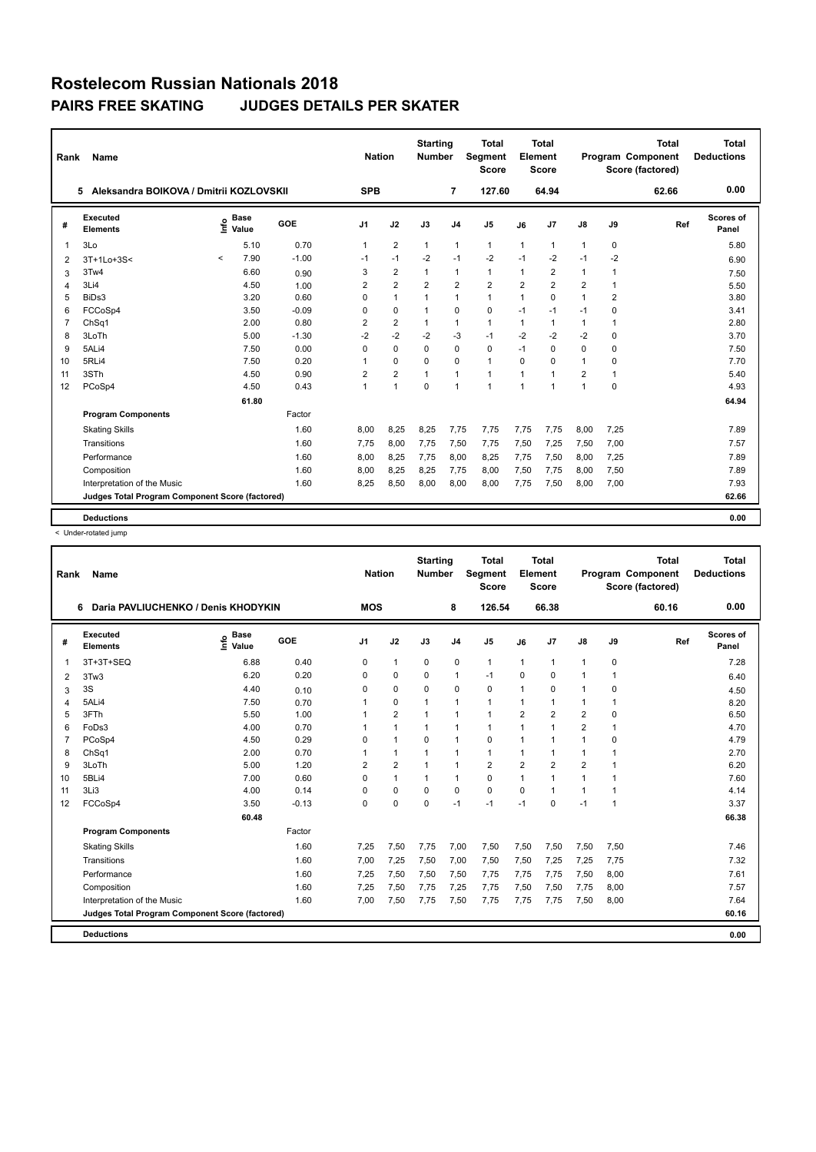| Rank           | Name                                            |         |                      |         | <b>Nation</b>  |                | <b>Starting</b><br><b>Number</b> |                | <b>Total</b><br>Segment<br><b>Score</b> |                | <b>Total</b><br>Element<br><b>Score</b> |                |                | <b>Total</b><br>Program Component<br>Score (factored) | <b>Total</b><br><b>Deductions</b> |
|----------------|-------------------------------------------------|---------|----------------------|---------|----------------|----------------|----------------------------------|----------------|-----------------------------------------|----------------|-----------------------------------------|----------------|----------------|-------------------------------------------------------|-----------------------------------|
|                | Aleksandra BOIKOVA / Dmitrii KOZLOVSKII<br>5    |         |                      |         | <b>SPB</b>     |                |                                  | $\overline{7}$ | 127.60                                  |                | 64.94                                   |                |                | 62.66                                                 | 0.00                              |
| #              | Executed<br><b>Elements</b>                     | ١nfo    | <b>Base</b><br>Value | GOE     | J <sub>1</sub> | J2             | J3                               | J <sub>4</sub> | J5                                      | J6             | J7                                      | J8             | J9             | Ref                                                   | Scores of<br>Panel                |
| 1              | 3Lo                                             |         | 5.10                 | 0.70    | $\mathbf{1}$   | $\overline{2}$ | $\mathbf{1}$                     | $\mathbf{1}$   | $\mathbf{1}$                            | $\mathbf{1}$   | $\mathbf{1}$                            | $\mathbf{1}$   | 0              |                                                       | 5.80                              |
| 2              | 3T+1Lo+3S<                                      | $\prec$ | 7.90                 | $-1.00$ | $-1$           | $-1$           | $-2$                             | $-1$           | $-2$                                    | $-1$           | $-2$                                    | $-1$           | $-2$           |                                                       | 6.90                              |
| 3              | 3Tw4                                            |         | 6.60                 | 0.90    | 3              | $\overline{2}$ | $\mathbf{1}$                     | $\mathbf{1}$   | $\mathbf{1}$                            | $\mathbf{1}$   | $\overline{2}$                          | $\mathbf{1}$   | $\mathbf{1}$   |                                                       | 7.50                              |
| $\overline{4}$ | 3Li4                                            |         | 4.50                 | 1.00    | 2              | $\overline{2}$ | $\overline{2}$                   | $\overline{2}$ | $\overline{2}$                          | $\overline{2}$ | $\overline{2}$                          | $\overline{2}$ | $\mathbf{1}$   |                                                       | 5.50                              |
| 5              | BiDs3                                           |         | 3.20                 | 0.60    | 0              | $\mathbf{1}$   | $\mathbf{1}$                     | $\mathbf{1}$   | $\mathbf{1}$                            | 1              | $\Omega$                                | $\mathbf{1}$   | $\overline{2}$ |                                                       | 3.80                              |
| 6              | FCCoSp4                                         |         | 3.50                 | $-0.09$ | $\Omega$       | 0              | $\mathbf{1}$                     | $\mathbf 0$    | 0                                       | $-1$           | $-1$                                    | $-1$           | 0              |                                                       | 3.41                              |
| 7              | ChSq1                                           |         | 2.00                 | 0.80    | 2              | $\overline{2}$ | $\mathbf{1}$                     | $\mathbf{1}$   | $\mathbf{1}$                            | $\mathbf{1}$   | $\mathbf{1}$                            | $\mathbf{1}$   | 1              |                                                       | 2.80                              |
| 8              | 3LoTh                                           |         | 5.00                 | $-1.30$ | $-2$           | $-2$           | $-2$                             | $-3$           | $-1$                                    | $-2$           | $-2$                                    | $-2$           | $\Omega$       |                                                       | 3.70                              |
| 9              | 5ALi4                                           |         | 7.50                 | 0.00    | 0              | 0              | $\Omega$                         | $\mathbf 0$    | 0                                       | $-1$           | 0                                       | $\Omega$       | 0              |                                                       | 7.50                              |
| 10             | 5RLi4                                           |         | 7.50                 | 0.20    | 1              | 0              | $\Omega$                         | $\Omega$       | $\mathbf{1}$                            | $\Omega$       | $\Omega$                                | 1              | 0              |                                                       | 7.70                              |
| 11             | 3STh                                            |         | 4.50                 | 0.90    | 2              | $\overline{2}$ | $\mathbf{1}$                     | $\mathbf{1}$   | $\mathbf{1}$                            | $\mathbf{1}$   | $\overline{1}$                          | $\overline{2}$ | $\mathbf{1}$   |                                                       | 5.40                              |
| 12             | PCoSp4                                          |         | 4.50                 | 0.43    | 1              | $\mathbf{1}$   | $\mathbf 0$                      | $\mathbf{1}$   | $\mathbf{1}$                            | $\mathbf{1}$   | 1                                       | 1              | $\mathbf 0$    |                                                       | 4.93                              |
|                |                                                 |         | 61.80                |         |                |                |                                  |                |                                         |                |                                         |                |                |                                                       | 64.94                             |
|                | <b>Program Components</b>                       |         |                      | Factor  |                |                |                                  |                |                                         |                |                                         |                |                |                                                       |                                   |
|                | <b>Skating Skills</b>                           |         |                      | 1.60    | 8,00           | 8,25           | 8,25                             | 7,75           | 7,75                                    | 7,75           | 7,75                                    | 8,00           | 7,25           |                                                       | 7.89                              |
|                | Transitions                                     |         |                      | 1.60    | 7,75           | 8,00           | 7,75                             | 7,50           | 7,75                                    | 7,50           | 7,25                                    | 7,50           | 7,00           |                                                       | 7.57                              |
|                | Performance                                     |         |                      | 1.60    | 8,00           | 8,25           | 7,75                             | 8,00           | 8,25                                    | 7,75           | 7,50                                    | 8,00           | 7,25           |                                                       | 7.89                              |
|                | Composition                                     |         |                      | 1.60    | 8.00           | 8,25           | 8,25                             | 7,75           | 8,00                                    | 7,50           | 7.75                                    | 8,00           | 7,50           |                                                       | 7.89                              |
|                | Interpretation of the Music                     |         |                      | 1.60    | 8,25           | 8,50           | 8,00                             | 8,00           | 8,00                                    | 7,75           | 7,50                                    | 8,00           | 7,00           |                                                       | 7.93                              |
|                | Judges Total Program Component Score (factored) |         |                      |         |                |                |                                  |                |                                         |                |                                         |                |                |                                                       | 62.66                             |
|                |                                                 |         |                      |         |                |                |                                  |                |                                         |                |                                         |                |                |                                                       |                                   |
|                | <b>Deductions</b>                               |         |                      |         |                |                |                                  |                |                                         |                |                                         |                |                |                                                       | 0.00                              |

< Under-rotated jump

| Rank | Name                                            |                            |         | <b>Nation</b> |                | <b>Starting</b><br><b>Number</b> |                | <b>Total</b><br>Segment<br><b>Score</b> |                | <b>Total</b><br>Element<br><b>Score</b> |                |              | <b>Total</b><br>Program Component<br>Score (factored) | <b>Total</b><br><b>Deductions</b> |
|------|-------------------------------------------------|----------------------------|---------|---------------|----------------|----------------------------------|----------------|-----------------------------------------|----------------|-----------------------------------------|----------------|--------------|-------------------------------------------------------|-----------------------------------|
|      | Daria PAVLIUCHENKO / Denis KHODYKIN<br>6        |                            |         | <b>MOS</b>    |                |                                  | 8              | 126.54                                  |                | 66.38                                   |                |              | 60.16                                                 | 0.00                              |
| #    | Executed<br><b>Elements</b>                     | <b>Base</b><br>۴ô<br>Value | GOE     | J1            | J2             | J3                               | J <sub>4</sub> | J <sub>5</sub>                          | J6             | J7                                      | $\mathsf{J}8$  | J9           | Ref                                                   | Scores of<br>Panel                |
| 1    | 3T+3T+SEQ                                       | 6.88                       | 0.40    | $\Omega$      | $\mathbf{1}$   | $\mathbf 0$                      | $\mathbf 0$    | $\mathbf{1}$                            | $\mathbf{1}$   | $\mathbf{1}$                            | 1              | $\mathbf 0$  |                                                       | 7.28                              |
| 2    | 3Tw3                                            | 6.20                       | 0.20    | 0             | $\Omega$       | $\Omega$                         | 1              | $-1$                                    | $\Omega$       | $\Omega$                                | $\mathbf{1}$   | $\mathbf{1}$ |                                                       | 6.40                              |
| 3    | 3S                                              | 4.40                       | 0.10    | 0             | $\mathbf 0$    | $\Omega$                         | $\mathbf 0$    | 0                                       | 1              | 0                                       | $\mathbf{1}$   | 0            |                                                       | 4.50                              |
| 4    | 5ALi4                                           | 7.50                       | 0.70    |               | 0              | $\overline{1}$                   | 1              | 1                                       | 1              | $\overline{1}$                          | $\mathbf{1}$   | $\mathbf{1}$ |                                                       | 8.20                              |
| 5    | 3FTh                                            | 5.50                       | 1.00    |               | $\overline{2}$ | 1                                | 1              | $\mathbf{1}$                            | $\overline{2}$ | $\overline{2}$                          | $\overline{2}$ | $\Omega$     |                                                       | 6.50                              |
| 6    | FoDs3                                           | 4.00                       | 0.70    |               | $\mathbf{1}$   | $\mathbf 1$                      | 1              | $\mathbf{1}$                            | 1              | 1                                       | $\overline{2}$ | 1            |                                                       | 4.70                              |
| 7    | PCoSp4                                          | 4.50                       | 0.29    | 0             | $\mathbf{1}$   | $\Omega$                         | 1              | 0                                       | $\mathbf{1}$   | $\overline{1}$                          | $\mathbf{1}$   | $\mathbf 0$  |                                                       | 4.79                              |
| 8    | ChSq1                                           | 2.00                       | 0.70    |               | $\mathbf{1}$   | 1                                | 1              | $\mathbf{1}$                            | 1              | $\overline{1}$                          | $\mathbf{1}$   | 1            |                                                       | 2.70                              |
| 9    | 3LoTh                                           | 5.00                       | 1.20    | 2             | $\overline{2}$ | $\mathbf{1}$                     | $\mathbf{1}$   | $\overline{2}$                          | $\overline{2}$ | $\overline{2}$                          | $\overline{2}$ | $\mathbf{1}$ |                                                       | 6.20                              |
| 10   | 5BLi4                                           | 7.00                       | 0.60    | 0             | $\mathbf{1}$   | 1                                | $\mathbf{1}$   | 0                                       | 1              | 1                                       | $\mathbf{1}$   | 1            |                                                       | 7.60                              |
| 11   | 3Li3                                            | 4.00                       | 0.14    | $\Omega$      | $\Omega$       | $\Omega$                         | $\Omega$       | 0                                       | $\Omega$       | 1                                       | $\mathbf{1}$   | 1            |                                                       | 4.14                              |
| 12   | FCCoSp4                                         | 3.50                       | $-0.13$ | 0             | $\mathbf 0$    | $\Omega$                         | $-1$           | $-1$                                    | $-1$           | $\Omega$                                | $-1$           | 1            |                                                       | 3.37                              |
|      |                                                 | 60.48                      |         |               |                |                                  |                |                                         |                |                                         |                |              |                                                       | 66.38                             |
|      | <b>Program Components</b>                       |                            | Factor  |               |                |                                  |                |                                         |                |                                         |                |              |                                                       |                                   |
|      | <b>Skating Skills</b>                           |                            | 1.60    | 7,25          | 7,50           | 7,75                             | 7,00           | 7,50                                    | 7,50           | 7,50                                    | 7,50           | 7,50         |                                                       | 7.46                              |
|      | Transitions                                     |                            | 1.60    | 7,00          | 7,25           | 7,50                             | 7,00           | 7,50                                    | 7,50           | 7,25                                    | 7,25           | 7,75         |                                                       | 7.32                              |
|      | Performance                                     |                            | 1.60    | 7,25          | 7,50           | 7,50                             | 7,50           | 7,75                                    | 7,75           | 7,75                                    | 7,50           | 8,00         |                                                       | 7.61                              |
|      | Composition                                     |                            | 1.60    | 7,25          | 7,50           | 7,75                             | 7,25           | 7,75                                    | 7,50           | 7,50                                    | 7.75           | 8,00         |                                                       | 7.57                              |
|      | Interpretation of the Music                     |                            | 1.60    | 7,00          | 7,50           | 7,75                             | 7,50           | 7,75                                    | 7,75           | 7,75                                    | 7,50           | 8,00         |                                                       | 7.64                              |
|      | Judges Total Program Component Score (factored) |                            |         |               |                |                                  |                |                                         |                |                                         |                |              |                                                       | 60.16                             |
|      | <b>Deductions</b>                               |                            |         |               |                |                                  |                |                                         |                |                                         |                |              |                                                       | 0.00                              |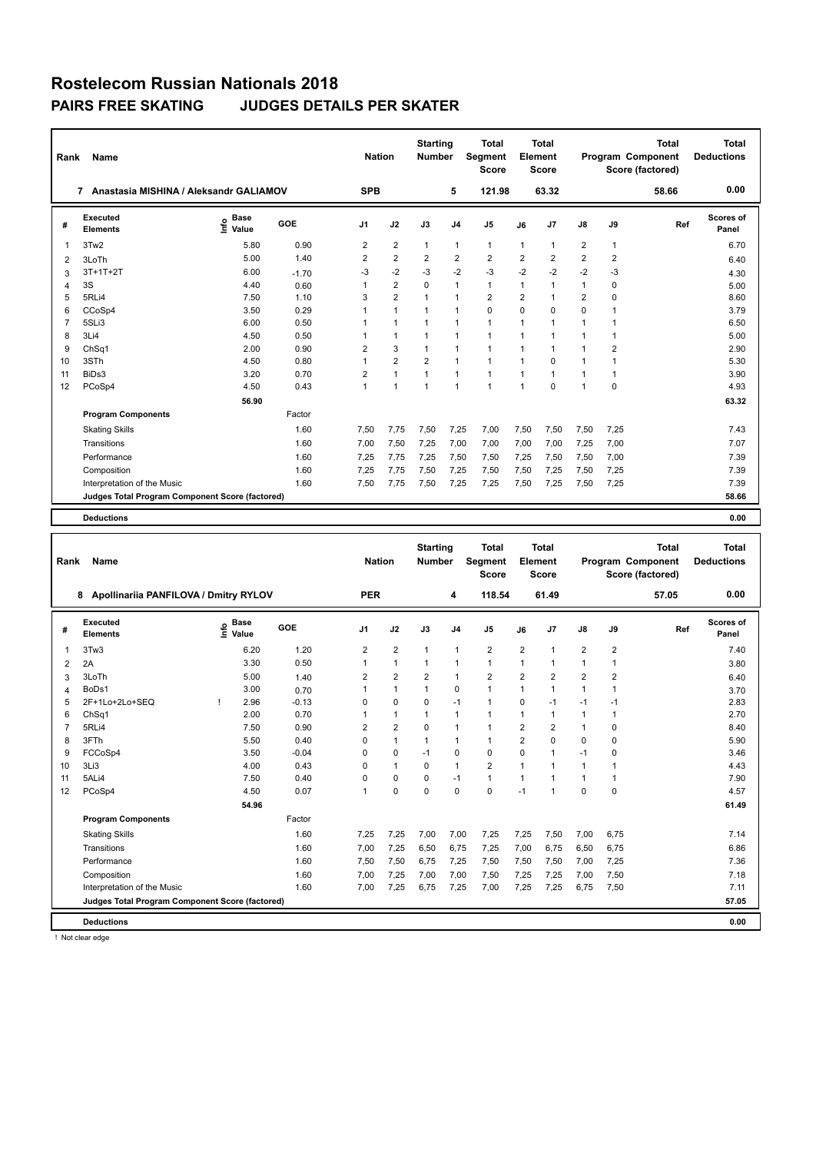| Rank            | Name                                            |                              |            | <b>Nation</b>  |                | <b>Starting</b><br><b>Number</b> |                | Total<br>Segment<br><b>Score</b> |                | Total<br>Element<br><b>Score</b> |                |                | Total<br>Program Component<br>Score (factored) | Total<br><b>Deductions</b> |
|-----------------|-------------------------------------------------|------------------------------|------------|----------------|----------------|----------------------------------|----------------|----------------------------------|----------------|----------------------------------|----------------|----------------|------------------------------------------------|----------------------------|
|                 | Anastasia MISHINA / Aleksandr GALIAMOV<br>7     |                              |            | <b>SPB</b>     |                |                                  | 5              | 121.98                           |                | 63.32                            |                |                | 58.66                                          | 0.00                       |
| #               | Executed<br><b>Elements</b>                     | <b>Base</b><br>١nf٥<br>Value | <b>GOE</b> | J <sub>1</sub> | J2             | J3                               | J <sub>4</sub> | J <sub>5</sub>                   | J6             | J <sub>7</sub>                   | $\mathsf{J}8$  | J9             | Ref                                            | Scores of<br>Panel         |
| $\overline{1}$  | 3Tw2                                            | 5.80                         | 0.90       | 2              | $\overline{2}$ | $\mathbf{1}$                     | $\mathbf{1}$   | $\mathbf{1}$                     | $\mathbf{1}$   | 1                                | $\overline{2}$ | $\mathbf{1}$   |                                                | 6.70                       |
| 2               | 3LoTh                                           | 5.00                         | 1.40       | 2              | $\overline{2}$ | 2                                | 2              | $\overline{2}$                   | $\overline{2}$ | $\overline{2}$                   | $\overline{2}$ | 2              |                                                | 6.40                       |
| 3               | $3T+1T+2T$                                      | 6.00                         | $-1.70$    | -3             | $-2$           | $-3$                             | $-2$           | $-3$                             | $-2$           | $-2$                             | $-2$           | $-3$           |                                                | 4.30                       |
| $\overline{4}$  | 3S                                              | 4.40                         | 0.60       | 1              | $\overline{2}$ | $\Omega$                         | $\mathbf{1}$   | $\mathbf{1}$                     | 1              | 1                                | 1              | 0              |                                                | 5.00                       |
| 5               | 5RLi4                                           | 7.50                         | 1.10       | 3              | $\overline{2}$ | $\mathbf{1}$                     | $\mathbf{1}$   | $\overline{2}$                   | 2              | 1                                | $\overline{2}$ | $\Omega$       |                                                | 8.60                       |
| 6               | CCoSp4                                          | 3.50                         | 0.29       | 1              | $\mathbf{1}$   | 1                                | $\mathbf{1}$   | $\mathbf 0$                      | $\mathbf 0$    | 0                                | 0              | 1              |                                                | 3.79                       |
| $\overline{7}$  | 5SLi3                                           | 6.00                         | 0.50       | 1              | $\mathbf{1}$   | 1                                | $\overline{1}$ | $\mathbf{1}$                     | 1              | 1                                | 1              | 1              |                                                | 6.50                       |
| 8               | 3Li4                                            | 4.50                         | 0.50       |                | $\mathbf{1}$   | 1                                | $\mathbf{1}$   | $\mathbf{1}$                     | 1              | 1                                |                | 1              |                                                | 5.00                       |
| 9               | ChSq1                                           | 2.00                         | 0.90       | 2              | 3              | $\mathbf{1}$                     | $\overline{1}$ | $\mathbf{1}$                     | 1              | 1                                | 1              | $\overline{2}$ |                                                | 2.90                       |
| 10 <sup>1</sup> | 3STh                                            | 4.50                         | 0.80       | 1              | $\overline{2}$ | $\overline{2}$                   | $\mathbf{1}$   | $\mathbf{1}$                     | 1              | 0                                | 1              | 1              |                                                | 5.30                       |
| 11              | BiDs3                                           | 3.20                         | 0.70       | $\overline{2}$ | $\mathbf{1}$   | $\overline{1}$                   | $\overline{1}$ | $\mathbf{1}$                     | 1              | $\overline{1}$                   | $\mathbf 1$    | 1              |                                                | 3.90                       |
| 12              | PCoSp4                                          | 4.50                         | 0.43       | 1              | $\overline{1}$ | $\overline{1}$                   | $\overline{1}$ | $\blacktriangleleft$             | $\overline{1}$ | $\Omega$                         | 1              | $\Omega$       |                                                | 4.93                       |
|                 |                                                 | 56.90                        |            |                |                |                                  |                |                                  |                |                                  |                |                |                                                | 63.32                      |
|                 | <b>Program Components</b>                       |                              | Factor     |                |                |                                  |                |                                  |                |                                  |                |                |                                                |                            |
|                 | <b>Skating Skills</b>                           |                              | 1.60       | 7,50           | 7,75           | 7,50                             | 7,25           | 7,00                             | 7,50           | 7,50                             | 7,50           | 7,25           |                                                | 7.43                       |
|                 | Transitions                                     |                              | 1.60       | 7,00           | 7,50           | 7,25                             | 7,00           | 7,00                             | 7,00           | 7,00                             | 7,25           | 7,00           |                                                | 7.07                       |
|                 | Performance                                     |                              | 1.60       | 7,25           | 7,75           | 7,25                             | 7,50           | 7,50                             | 7,25           | 7,50                             | 7,50           | 7,00           |                                                | 7.39                       |
|                 | Composition                                     |                              | 1.60       | 7,25           | 7,75           | 7,50                             | 7,25           | 7,50                             | 7,50           | 7,25                             | 7,50           | 7,25           |                                                | 7.39                       |
|                 | Interpretation of the Music                     |                              | 1.60       | 7,50           | 7,75           | 7,50                             | 7,25           | 7,25                             | 7,50           | 7,25                             | 7,50           | 7,25           |                                                | 7.39                       |
|                 | Judges Total Program Component Score (factored) |                              |            |                |                |                                  |                |                                  |                |                                  |                |                |                                                | 58.66                      |

**Deductions 0.00**

| Rank           | <b>Name</b>                                     |    | <b>Nation</b>        |         | <b>Starting</b><br><b>Number</b> |                | <b>Total</b><br>Segment<br><b>Score</b> |                | Total<br>Element<br><b>Score</b> |                |              | <b>Total</b><br><b>Program Component</b><br>Score (factored) | Total<br><b>Deductions</b> |       |                           |
|----------------|-------------------------------------------------|----|----------------------|---------|----------------------------------|----------------|-----------------------------------------|----------------|----------------------------------|----------------|--------------|--------------------------------------------------------------|----------------------------|-------|---------------------------|
|                | Apollinariia PANFILOVA / Dmitry RYLOV<br>8      |    |                      |         | <b>PER</b>                       |                |                                         | 4              | 118.54                           |                | 61.49        |                                                              |                            | 57.05 | 0.00                      |
| #              | Executed<br><b>Elements</b>                     | ۴ů | <b>Base</b><br>Value | GOE     | J <sub>1</sub>                   | J2             | J3                                      | J <sub>4</sub> | J <sub>5</sub>                   | J6             | J7           | ${\sf J8}$                                                   | J9                         | Ref   | <b>Scores of</b><br>Panel |
| $\overline{1}$ | 3Tw3                                            |    | 6.20                 | 1.20    | 2                                | $\overline{2}$ | $\mathbf{1}$                            | 1              | $\overline{2}$                   | 2              | $\mathbf{1}$ | 2                                                            | $\overline{2}$             |       | 7.40                      |
| 2              | 2A                                              |    | 3.30                 | 0.50    | 1                                | $\mathbf{1}$   | $\mathbf{1}$                            | $\mathbf{1}$   | $\mathbf{1}$                     | 1              | $\mathbf{1}$ | $\mathbf{1}$                                                 | $\mathbf{1}$               |       | 3.80                      |
| 3              | 3LoTh                                           |    | 5.00                 | 1.40    | 2                                | $\overline{2}$ | 2                                       | $\mathbf{1}$   | $\overline{2}$                   | 2              | 2            | 2                                                            | 2                          |       | 6.40                      |
| $\overline{4}$ | BoDs1                                           |    | 3.00                 | 0.70    | 1                                | $\mathbf{1}$   | $\mathbf{1}$                            | $\mathbf 0$    | $\mathbf{1}$                     | 1              | $\mathbf{1}$ | $\mathbf{1}$                                                 | $\mathbf{1}$               |       | 3.70                      |
| 5              | 2F+1Lo+2Lo+SEQ                                  |    | 2.96                 | $-0.13$ | 0                                | $\mathbf 0$    | $\mathbf 0$                             | $-1$           | $\mathbf{1}$                     | 0              | $-1$         | $-1$                                                         | $-1$                       |       | 2.83                      |
| 6              | Ch <sub>Sq1</sub>                               |    | 2.00                 | 0.70    |                                  | $\mathbf{1}$   | $\mathbf{1}$                            | $\mathbf{1}$   | 1                                | 1              | $\mathbf{1}$ | $\mathbf{1}$                                                 | 1                          |       | 2.70                      |
| $\overline{7}$ | 5RLi4                                           |    | 7.50                 | 0.90    | $\overline{2}$                   | $\overline{2}$ | $\Omega$                                | $\mathbf{1}$   | $\mathbf{1}$                     | 2              | 2            | $\mathbf{1}$                                                 | 0                          |       | 8.40                      |
| 8              | 3FTh                                            |    | 5.50                 | 0.40    | $\Omega$                         | $\mathbf{1}$   | $\mathbf{1}$                            | $\mathbf{1}$   | 1                                | $\overline{2}$ | $\Omega$     | $\Omega$                                                     | $\Omega$                   |       | 5.90                      |
| 9              | FCCoSp4                                         |    | 3.50                 | $-0.04$ | $\Omega$                         | $\mathbf 0$    | $-1$                                    | $\mathbf 0$    | $\mathbf 0$                      | $\Omega$       | $\mathbf{1}$ | $-1$                                                         | 0                          |       | 3.46                      |
| 10             | 3Li3                                            |    | 4.00                 | 0.43    | 0                                | $\mathbf{1}$   | 0                                       | $\mathbf{1}$   | $\overline{2}$                   | 1              | $\mathbf{1}$ | $\mathbf{1}$                                                 | $\mathbf{1}$               |       | 4.43                      |
| 11             | 5ALi4                                           |    | 7.50                 | 0.40    | 0                                | $\mathbf 0$    | 0                                       | $-1$           | $\mathbf{1}$                     | 1              | $\mathbf{1}$ | $\mathbf{1}$                                                 | $\mathbf{1}$               |       | 7.90                      |
| 12             | PCoSp4                                          |    | 4.50                 | 0.07    | 1                                | $\mathbf 0$    | $\mathbf 0$                             | $\mathbf 0$    | $\mathbf 0$                      | $-1$           | 1            | 0                                                            | $\mathbf 0$                |       | 4.57                      |
|                |                                                 |    | 54.96                |         |                                  |                |                                         |                |                                  |                |              |                                                              |                            |       | 61.49                     |
|                | <b>Program Components</b>                       |    |                      | Factor  |                                  |                |                                         |                |                                  |                |              |                                                              |                            |       |                           |
|                | <b>Skating Skills</b>                           |    |                      | 1.60    | 7,25                             | 7,25           | 7,00                                    | 7,00           | 7,25                             | 7,25           | 7,50         | 7,00                                                         | 6,75                       |       | 7.14                      |
|                | Transitions                                     |    |                      | 1.60    | 7,00                             | 7,25           | 6,50                                    | 6.75           | 7,25                             | 7,00           | 6.75         | 6,50                                                         | 6,75                       |       | 6.86                      |
|                | Performance                                     |    |                      | 1.60    | 7,50                             | 7,50           | 6,75                                    | 7,25           | 7,50                             | 7,50           | 7,50         | 7,00                                                         | 7,25                       |       | 7.36                      |
|                | Composition                                     |    |                      | 1.60    | 7,00                             | 7,25           | 7,00                                    | 7,00           | 7,50                             | 7,25           | 7,25         | 7,00                                                         | 7,50                       |       | 7.18                      |
|                | Interpretation of the Music                     |    |                      | 1.60    | 7,00                             | 7,25           | 6,75                                    | 7,25           | 7,00                             | 7,25           | 7,25         | 6,75                                                         | 7,50                       |       | 7.11                      |
|                | Judges Total Program Component Score (factored) |    |                      |         |                                  |                |                                         |                |                                  |                |              |                                                              |                            |       | 57.05                     |
|                | <b>Deductions</b>                               |    |                      |         |                                  |                |                                         |                |                                  |                |              |                                                              |                            |       | 0.00                      |

! Not clear edge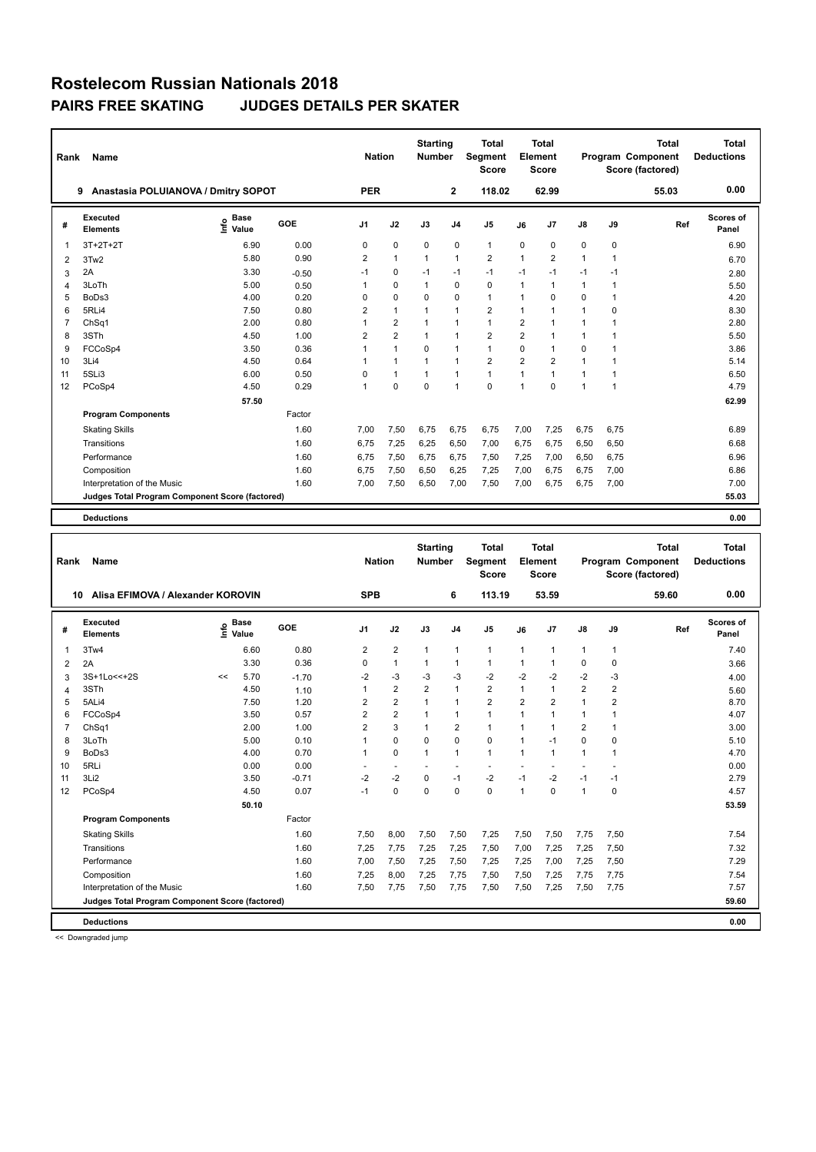| Rank           | Name                                            |                              |         | <b>Nation</b>  |                | <b>Starting</b><br><b>Number</b> |                | <b>Total</b><br>Segment<br><b>Score</b> |                | Total<br>Element<br>Score |             |              | <b>Total</b><br>Program Component<br>Score (factored) | Total<br><b>Deductions</b> |
|----------------|-------------------------------------------------|------------------------------|---------|----------------|----------------|----------------------------------|----------------|-----------------------------------------|----------------|---------------------------|-------------|--------------|-------------------------------------------------------|----------------------------|
|                | Anastasia POLUIANOVA / Dmitry SOPOT<br>9        |                              |         | <b>PER</b>     |                |                                  | $\mathbf{2}$   | 118.02                                  |                | 62.99                     |             |              | 55.03                                                 | 0.00                       |
| #              | Executed<br><b>Elements</b>                     | <b>Base</b><br>lnfo<br>Value | GOE     | J <sub>1</sub> | J2             | J3                               | J <sub>4</sub> | J <sub>5</sub>                          | J6             | J7                        | J8          | J9           | Ref                                                   | Scores of<br>Panel         |
| $\overline{1}$ | $3T+2T+2T$                                      | 6.90                         | 0.00    | 0              | $\mathbf 0$    | $\mathbf 0$                      | $\mathbf 0$    | $\mathbf{1}$                            | $\mathbf 0$    | 0                         | 0           | 0            |                                                       | 6.90                       |
| 2              | 3Tw2                                            | 5.80                         | 0.90    | 2              | $\mathbf{1}$   | 1                                | $\overline{1}$ | $\overline{2}$                          | $\mathbf{1}$   | $\overline{2}$            | 1           | 1            |                                                       | 6.70                       |
| 3              | 2A                                              | 3.30                         | $-0.50$ | $-1$           | $\mathbf 0$    | $-1$                             | $-1$           | $-1$                                    | $-1$           | $-1$                      | $-1$        | $-1$         |                                                       | 2.80                       |
| 4              | 3LoTh                                           | 5.00                         | 0.50    | 1              | $\mathbf 0$    | $\mathbf{1}$                     | $\mathbf 0$    | $\mathbf 0$                             | 1              | $\overline{1}$            | 1           | 1            |                                                       | 5.50                       |
| 5              | BoDs3                                           | 4.00                         | 0.20    | $\Omega$       | $\mathbf 0$    | $\Omega$                         | $\mathbf 0$    | $\mathbf{1}$                            | 1              | $\Omega$                  | 0           | 1            |                                                       | 4.20                       |
| 6              | 5RLi4                                           | 7.50                         | 0.80    | 2              | $\mathbf{1}$   | 1                                | $\mathbf{1}$   | $\overline{2}$                          | 1              | 1                         | 1           | 0            |                                                       | 8.30                       |
| $\overline{7}$ | ChSq1                                           | 2.00                         | 0.80    | 1              | $\overline{2}$ | 1                                | $\overline{1}$ | $\mathbf{1}$                            | $\overline{2}$ | $\overline{1}$            | $\mathbf 1$ | 1            |                                                       | 2.80                       |
| 8              | 3STh                                            | 4.50                         | 1.00    | $\overline{2}$ | $\overline{2}$ | $\mathbf{1}$                     | $\mathbf{1}$   | $\overline{2}$                          | $\overline{2}$ | 1                         | $\mathbf 1$ | 1            |                                                       | 5.50                       |
| 9              | FCCoSp4                                         | 3.50                         | 0.36    | 1              | $\mathbf{1}$   | $\Omega$                         | $\overline{1}$ | $\mathbf{1}$                            | $\Omega$       | 1                         | 0           | 1            |                                                       | 3.86                       |
| 10             | 3Li4                                            | 4.50                         | 0.64    | 1              | $\mathbf{1}$   | $\mathbf{1}$                     | $\mathbf{1}$   | $\overline{2}$                          | $\overline{2}$ | $\overline{2}$            | $\mathbf 1$ | 1            |                                                       | 5.14                       |
| 11             | 5SLi3                                           | 6.00                         | 0.50    | $\Omega$       | $\mathbf{1}$   | $\mathbf{1}$                     | $\overline{1}$ | $\mathbf{1}$                            | $\mathbf{1}$   | $\blacktriangleleft$      | $\mathbf 1$ | $\mathbf{1}$ |                                                       | 6.50                       |
| 12             | PCoSp4                                          | 4.50                         | 0.29    | 1              | $\Omega$       | $\Omega$                         | $\overline{1}$ | $\Omega$                                | $\mathbf{1}$   | $\Omega$                  | $\mathbf 1$ | 1            |                                                       | 4.79                       |
|                |                                                 | 57.50                        |         |                |                |                                  |                |                                         |                |                           |             |              |                                                       | 62.99                      |
|                | <b>Program Components</b>                       |                              | Factor  |                |                |                                  |                |                                         |                |                           |             |              |                                                       |                            |
|                | <b>Skating Skills</b>                           |                              | 1.60    | 7.00           | 7,50           | 6.75                             | 6.75           | 6.75                                    | 7.00           | 7.25                      | 6.75        | 6,75         |                                                       | 6.89                       |
|                | Transitions                                     |                              | 1.60    | 6,75           | 7,25           | 6,25                             | 6,50           | 7,00                                    | 6,75           | 6,75                      | 6,50        | 6,50         |                                                       | 6.68                       |
|                | Performance                                     |                              | 1.60    | 6.75           | 7,50           | 6,75                             | 6.75           | 7,50                                    | 7,25           | 7,00                      | 6,50        | 6,75         |                                                       | 6.96                       |
|                | Composition                                     |                              | 1.60    | 6,75           | 7,50           | 6,50                             | 6,25           | 7,25                                    | 7,00           | 6,75                      | 6,75        | 7,00         |                                                       | 6.86                       |
|                | Interpretation of the Music                     |                              | 1.60    | 7.00           | 7,50           | 6,50                             | 7,00           | 7,50                                    | 7,00           | 6,75                      | 6,75        | 7,00         |                                                       | 7.00                       |
|                | Judges Total Program Component Score (factored) |                              |         |                |                |                                  |                |                                         |                |                           |             |              |                                                       | 55.03                      |

**Deductions 0.00**

| Rank           | Name                                            |      |                      |         | <b>Nation</b>  |                          | <b>Starting</b><br><b>Number</b> |                | <b>Total</b><br>Segment<br><b>Score</b> |                | <b>Total</b><br>Element<br><b>Score</b> |                |                | <b>Total</b><br>Program Component<br>Score (factored) | <b>Total</b><br><b>Deductions</b> |
|----------------|-------------------------------------------------|------|----------------------|---------|----------------|--------------------------|----------------------------------|----------------|-----------------------------------------|----------------|-----------------------------------------|----------------|----------------|-------------------------------------------------------|-----------------------------------|
|                | Alisa EFIMOVA / Alexander KOROVIN<br>10         |      |                      |         | <b>SPB</b>     |                          |                                  | 6              | 113.19                                  |                | 53.59                                   |                |                | 59.60                                                 | 0.00                              |
| #              | Executed<br><b>Elements</b>                     | lnfo | <b>Base</b><br>Value | GOE     | J <sub>1</sub> | J2                       | J3                               | J <sub>4</sub> | J <sub>5</sub>                          | J6             | J7                                      | $\mathsf{J}8$  | J9             | Ref                                                   | Scores of<br>Panel                |
| 1              | 3Tw4                                            |      | 6.60                 | 0.80    | 2              | $\overline{2}$           | $\mathbf{1}$                     | $\mathbf{1}$   | $\mathbf{1}$                            | 1              | $\mathbf{1}$                            | $\mathbf{1}$   | $\mathbf{1}$   |                                                       | 7.40                              |
| $\overline{2}$ | 2A                                              |      | 3.30                 | 0.36    | $\Omega$       | $\mathbf{1}$             | $\mathbf{1}$                     | $\mathbf{1}$   | $\mathbf{1}$                            | 1              | 1                                       | 0              | 0              |                                                       | 3.66                              |
| 3              | 3S+1Lo<<+2S                                     | <<   | 5.70                 | $-1.70$ | $-2$           | $-3$                     | $-3$                             | $-3$           | $-2$                                    | $-2$           | $-2$                                    | $-2$           | $-3$           |                                                       | 4.00                              |
| 4              | 3STh                                            |      | 4.50                 | 1.10    | 1              | $\overline{2}$           | $\overline{2}$                   | $\mathbf{1}$   | $\overline{2}$                          | 1              | $\mathbf{1}$                            | $\overline{2}$ | $\overline{2}$ |                                                       | 5.60                              |
| 5              | 5ALi4                                           |      | 7.50                 | 1.20    | $\overline{2}$ | $\overline{2}$           | $\mathbf{1}$                     | $\mathbf{1}$   | $\overline{2}$                          | $\overline{2}$ | $\overline{2}$                          | $\mathbf{1}$   | $\overline{2}$ |                                                       | 8.70                              |
| 6              | FCCoSp4                                         |      | 3.50                 | 0.57    | 2              | $\overline{2}$           | 1                                | $\mathbf{1}$   | $\mathbf{1}$                            | 1              | 1                                       | $\mathbf{1}$   | 1              |                                                       | 4.07                              |
| $\overline{7}$ | ChSq1                                           |      | 2.00                 | 1.00    | $\overline{2}$ | 3                        | $\mathbf{1}$                     | $\overline{2}$ | $\mathbf{1}$                            | 1              | 1                                       | $\overline{2}$ | 1              |                                                       | 3.00                              |
| 8              | 3LoTh                                           |      | 5.00                 | 0.10    | 1              | $\Omega$                 | $\Omega$                         | $\Omega$       | $\Omega$                                | $\mathbf{1}$   | $-1$                                    | 0              | $\Omega$       |                                                       | 5.10                              |
| 9              | BoDs3                                           |      | 4.00                 | 0.70    | $\mathbf{1}$   | $\mathbf 0$              | $\mathbf{1}$                     | $\mathbf{1}$   | $\mathbf{1}$                            | 1              | $\overline{1}$                          | $\mathbf{1}$   | 1              |                                                       | 4.70                              |
| 10             | 5RLi                                            |      | 0.00                 | 0.00    | ÷              | $\overline{\phantom{a}}$ | ٠                                | ٠              | $\overline{\phantom{a}}$                |                |                                         | ٠              |                |                                                       | 0.00                              |
| 11             | 3Li <sub>2</sub>                                |      | 3.50                 | $-0.71$ | $-2$           | $-2$                     | $\mathbf 0$                      | $-1$           | $-2$                                    | $-1$           | $-2$                                    | $-1$           | $-1$           |                                                       | 2.79                              |
| 12             | PCoSp4                                          |      | 4.50                 | 0.07    | $-1$           | $\mathbf 0$              | $\Omega$                         | $\Omega$       | $\Omega$                                | 1              | 0                                       | $\mathbf{1}$   | $\mathbf 0$    |                                                       | 4.57                              |
|                |                                                 |      | 50.10                |         |                |                          |                                  |                |                                         |                |                                         |                |                |                                                       | 53.59                             |
|                | <b>Program Components</b>                       |      |                      | Factor  |                |                          |                                  |                |                                         |                |                                         |                |                |                                                       |                                   |
|                | <b>Skating Skills</b>                           |      |                      | 1.60    | 7.50           | 8,00                     | 7,50                             | 7,50           | 7,25                                    | 7,50           | 7,50                                    | 7,75           | 7,50           |                                                       | 7.54                              |
|                | Transitions                                     |      |                      | 1.60    | 7,25           | 7,75                     | 7,25                             | 7,25           | 7,50                                    | 7,00           | 7,25                                    | 7,25           | 7,50           |                                                       | 7.32                              |
|                | Performance                                     |      |                      | 1.60    | 7,00           | 7,50                     | 7,25                             | 7,50           | 7,25                                    | 7,25           | 7,00                                    | 7,25           | 7,50           |                                                       | 7.29                              |
|                | Composition                                     |      |                      | 1.60    | 7.25           | 8,00                     | 7,25                             | 7.75           | 7,50                                    | 7,50           | 7.25                                    | 7,75           | 7,75           |                                                       | 7.54                              |
|                | Interpretation of the Music                     |      |                      | 1.60    | 7,50           | 7,75                     | 7,50                             | 7,75           | 7,50                                    | 7,50           | 7,25                                    | 7,50           | 7,75           |                                                       | 7.57                              |
|                | Judges Total Program Component Score (factored) |      |                      |         |                |                          |                                  |                |                                         |                |                                         |                |                |                                                       | 59.60                             |
|                | <b>Deductions</b>                               |      |                      |         |                |                          |                                  |                |                                         |                |                                         |                |                |                                                       | 0.00                              |

<< Downgraded jump